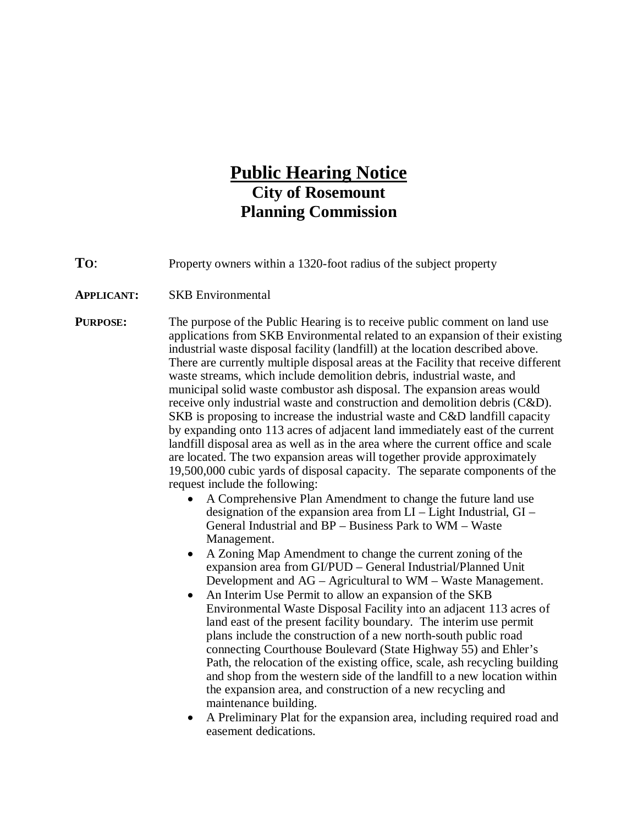## **Public Hearing Notice City of Rosemount Planning Commission**

**TO:** Property owners within a 1320-foot radius of the subject property

**APPLICANT:** SKB Environmental

**PURPOSE:** The purpose of the Public Hearing is to receive public comment on land use applications from SKB Environmental related to an expansion of their existing industrial waste disposal facility (landfill) at the location described above. There are currently multiple disposal areas at the Facility that receive different waste streams, which include demolition debris, industrial waste, and municipal solid waste combustor ash disposal. The expansion areas would receive only industrial waste and construction and demolition debris (C&D). SKB is proposing to increase the industrial waste and C&D landfill capacity by expanding onto 113 acres of adjacent land immediately east of the current landfill disposal area as well as in the area where the current office and scale are located. The two expansion areas will together provide approximately 19,500,000 cubic yards of disposal capacity. The separate components of the request include the following:

- A Comprehensive Plan Amendment to change the future land use designation of the expansion area from LI – Light Industrial, GI – General Industrial and BP – Business Park to WM – Waste Management.
- A Zoning Map Amendment to change the current zoning of the expansion area from GI/PUD – General Industrial/Planned Unit Development and AG – Agricultural to WM – Waste Management.
- An Interim Use Permit to allow an expansion of the SKB Environmental Waste Disposal Facility into an adjacent 113 acres of land east of the present facility boundary. The interim use permit plans include the construction of a new north-south public road connecting Courthouse Boulevard (State Highway 55) and Ehler's Path, the relocation of the existing office, scale, ash recycling building and shop from the western side of the landfill to a new location within the expansion area, and construction of a new recycling and maintenance building.
- A Preliminary Plat for the expansion area, including required road and easement dedications.